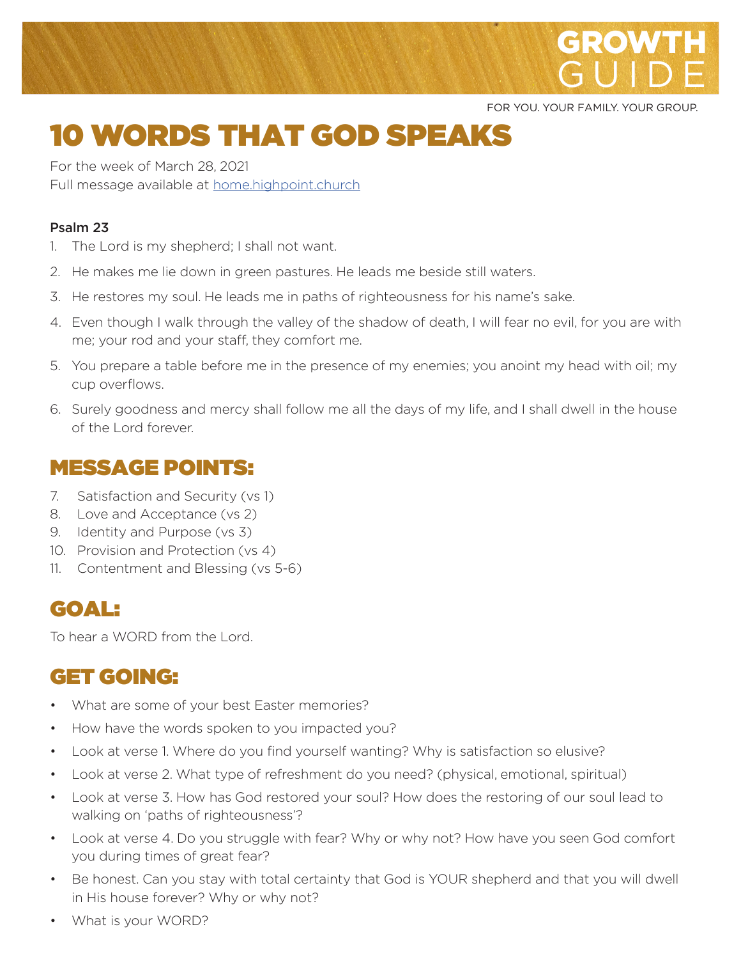

FOR YOU. YOUR FAMILY. YOUR GROUP.

# 10 WORDS THAT GOD SPEAKS

For the week of March 28, 2021 Full message available at home.highpoint.church

#### Psalm 23

- 1. The Lord is my shepherd; I shall not want.
- 2. He makes me lie down in green pastures. He leads me beside still waters.
- 3. He restores my soul. He leads me in paths of righteousness for his name's sake.
- 4. Even though I walk through the valley of the shadow of death, I will fear no evil, for you are with me; your rod and your staff, they comfort me.
- 5. You prepare a table before me in the presence of my enemies; you anoint my head with oil; my cup overflows.
- 6. Surely goodness and mercy shall follow me all the days of my life, and I shall dwell in the house of the Lord forever.

#### MESSAGE POINTS:

- 7. Satisfaction and Security (vs 1)
- 8. Love and Acceptance (vs 2)
- 9. Identity and Purpose (vs 3)
- 10. Provision and Protection (vs 4)
- 11. Contentment and Blessing (vs 5-6)

#### GOAL:

To hear a WORD from the Lord.

#### GET GOING:

- What are some of your best Easter memories?
- How have the words spoken to you impacted you?
- Look at verse 1. Where do you find yourself wanting? Why is satisfaction so elusive?
- Look at verse 2. What type of refreshment do you need? (physical, emotional, spiritual)
- Look at verse 3. How has God restored your soul? How does the restoring of our soul lead to walking on 'paths of righteousness'?
- Look at verse 4. Do you struggle with fear? Why or why not? How have you seen God comfort you during times of great fear?
- Be honest. Can you stay with total certainty that God is YOUR shepherd and that you will dwell in His house forever? Why or why not?
- What is your WORD?